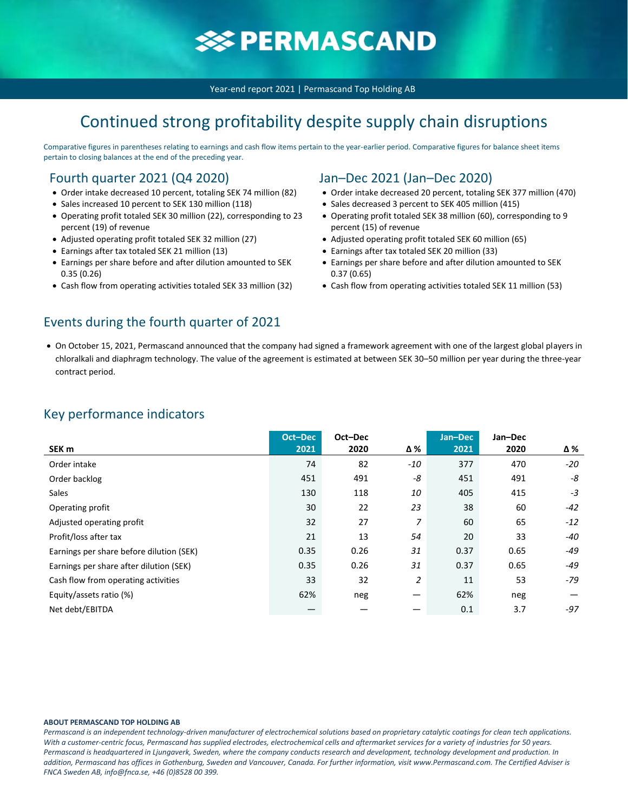# **SSPERMASCAND**

Year-end report 2021 | Permascand Top Holding AB

## Continued strong profitability despite supply chain disruptions

Comparative figures in parentheses relating to earnings and cash flow items pertain to the year-earlier period. Comparative figures for balance sheet items pertain to closing balances at the end of the preceding year.

### Fourth quarter 2021 (Q4 2020)

- Order intake decreased 10 percent, totaling SEK 74 million (82)
- Sales increased 10 percent to SEK 130 million (118)
- Operating profit totaled SEK 30 million (22), corresponding to 23 percent (19) of revenue
- Adjusted operating profit totaled SEK 32 million (27)
- Earnings after tax totaled SEK 21 million (13)
- Earnings per share before and after dilution amounted to SEK 0.35 (0.26)
- Cash flow from operating activities totaled SEK 33 million (32)

### Events during the fourth quarter of 2021

### Jan–Dec 2021 (Jan–Dec 2020)

- Order intake decreased 20 percent, totaling SEK 377 million (470)
- Sales decreased 3 percent to SEK 405 million (415)
- Operating profit totaled SEK 38 million (60), corresponding to 9 percent (15) of revenue
- Adjusted operating profit totaled SEK 60 million (65)
- Earnings after tax totaled SEK 20 million (33)
- Earnings per share before and after dilution amounted to SEK 0.37 (0.65)
- Cash flow from operating activities totaled SEK 11 million (53)
- On October 15, 2021, Permascand announced that the company had signed a framework agreement with one of the largest global players in chloralkali and diaphragm technology. The value of the agreement is estimated at between SEK 30–50 million per year during the three-year contract period.

### Key performance indicators

|                                          | Oct-Dec | Oct-Dec |                                | Jan-Dec | Jan-Dec |       |
|------------------------------------------|---------|---------|--------------------------------|---------|---------|-------|
| SEK <sub>m</sub>                         | 2021    | 2020    | Δ%                             | 2021    | 2020    | Δ%    |
| Order intake                             | 74      | 82      | $-10$                          | 377     | 470     | $-20$ |
| Order backlog                            | 451     | 491     | -8                             | 451     | 491     | -8    |
| <b>Sales</b>                             | 130     | 118     | 10                             | 405     | 415     | $-3$  |
| Operating profit                         | 30      | 22      | 23                             | 38      | 60      | $-42$ |
| Adjusted operating profit                | 32      | 27      | $\overline{z}$                 | 60      | 65      | $-12$ |
| Profit/loss after tax                    | 21      | 13      | 54                             | 20      | 33      | -40   |
| Earnings per share before dilution (SEK) | 0.35    | 0.26    | 31                             | 0.37    | 0.65    | -49   |
| Earnings per share after dilution (SEK)  | 0.35    | 0.26    | 31                             | 0.37    | 0.65    | -49   |
| Cash flow from operating activities      | 33      | 32      | $\overline{c}$                 | 11      | 53      | -79   |
| Equity/assets ratio (%)                  | 62%     | neg     | $\qquad \qquad \longleftarrow$ | 62%     | neg     |       |
| Net debt/EBITDA                          |         |         |                                | 0.1     | 3.7     | $-97$ |

#### **ABOUT PERMASCAND TOP HOLDING AB**

*Permascand is an independent technology-driven manufacturer of electrochemical solutions based on proprietary catalytic coatings for clean tech applications. With a customer-centric focus, Permascand has supplied electrodes, electrochemical cells and aftermarket services for a variety of industries for 50 years. Permascand is headquartered in Ljungaverk, Sweden, where the company conducts research and development, technology development and production. In addition, Permascand has offices in Gothenburg, Sweden and Vancouver, Canada. For further information, visit www.Permascand.com. The Certified Adviser is FNCA Sweden AB, info@fnca.se, +46 (0)8528 00 399.*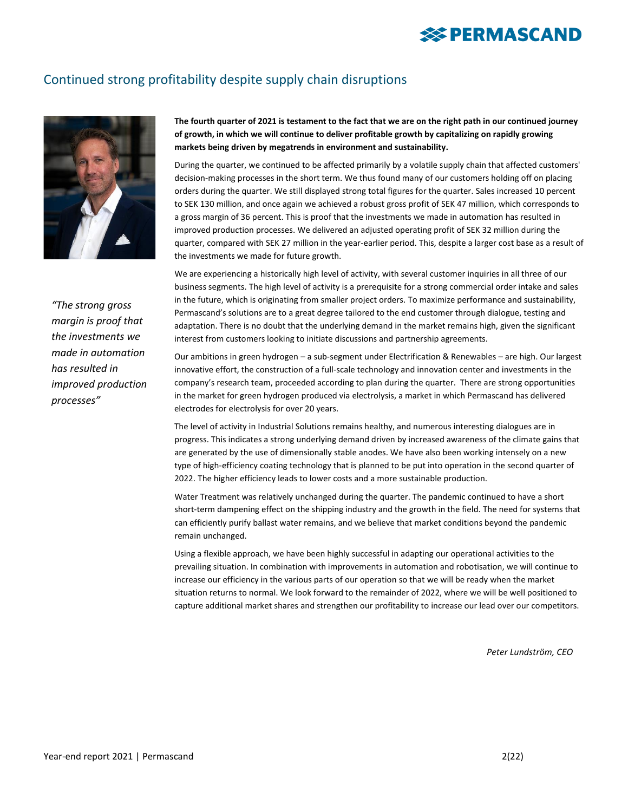## Continued strong profitability despite supply chain disruptions



*"The strong gross margin is proof that the investments we made in automation has resulted in improved production processes"*

**The fourth quarter of 2021 is testament to the fact that we are on the right path in our continued journey of growth, in which we will continue to deliver profitable growth by capitalizing on rapidly growing markets being driven by megatrends in environment and sustainability.**

During the quarter, we continued to be affected primarily by a volatile supply chain that affected customers' decision-making processes in the short term. We thus found many of our customers holding off on placing orders during the quarter. We still displayed strong total figures for the quarter. Sales increased 10 percent to SEK 130 million, and once again we achieved a robust gross profit of SEK 47 million, which corresponds to a gross margin of 36 percent. This is proof that the investments we made in automation has resulted in improved production processes. We delivered an adjusted operating profit of SEK 32 million during the quarter, compared with SEK 27 million in the year-earlier period. This, despite a larger cost base as a result of the investments we made for future growth.

We are experiencing a historically high level of activity, with several customer inquiries in all three of our business segments. The high level of activity is a prerequisite for a strong commercial order intake and sales in the future, which is originating from smaller project orders. To maximize performance and sustainability, Permascand's solutions are to a great degree tailored to the end customer through dialogue, testing and adaptation. There is no doubt that the underlying demand in the market remains high, given the significant interest from customers looking to initiate discussions and partnership agreements.

Our ambitions in green hydrogen – a sub-segment under Electrification & Renewables – are high. Our largest innovative effort, the construction of a full-scale technology and innovation center and investments in the company's research team, proceeded according to plan during the quarter. There are strong opportunities in the market for green hydrogen produced via electrolysis, a market in which Permascand has delivered electrodes for electrolysis for over 20 years.

The level of activity in Industrial Solutions remains healthy, and numerous interesting dialogues are in progress. This indicates a strong underlying demand driven by increased awareness of the climate gains that are generated by the use of dimensionally stable anodes. We have also been working intensely on a new type of high-efficiency coating technology that is planned to be put into operation in the second quarter of 2022. The higher efficiency leads to lower costs and a more sustainable production.

Water Treatment was relatively unchanged during the quarter. The pandemic continued to have a short short-term dampening effect on the shipping industry and the growth in the field. The need for systems that can efficiently purify ballast water remains, and we believe that market conditions beyond the pandemic remain unchanged.

Using a flexible approach, we have been highly successful in adapting our operational activities to the prevailing situation. In combination with improvements in automation and robotisation, we will continue to increase our efficiency in the various parts of our operation so that we will be ready when the market situation returns to normal. We look forward to the remainder of 2022, where we will be well positioned to capture additional market shares and strengthen our profitability to increase our lead over our competitors.

*Peter Lundström, CEO*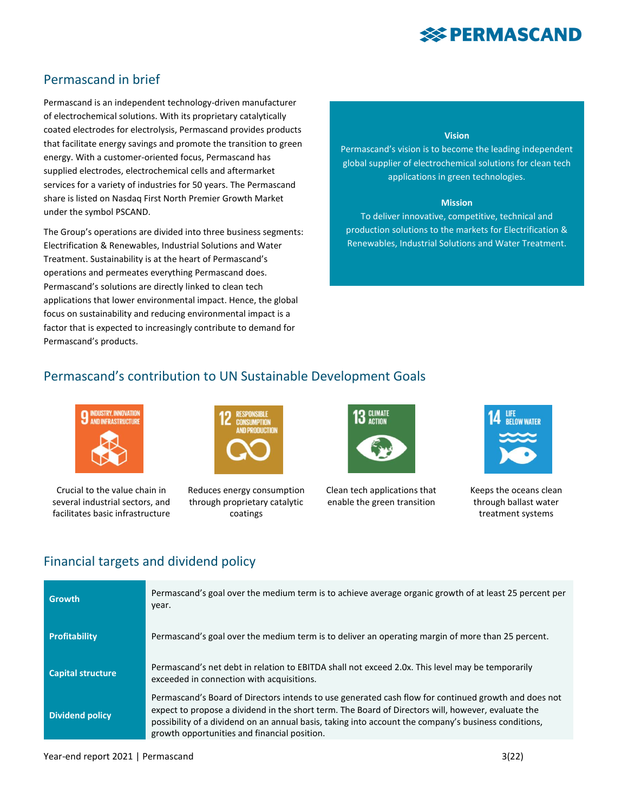## Permascand in brief

Permascand is an independent technology-driven manufacturer of electrochemical solutions. With its proprietary catalytically coated electrodes for electrolysis, Permascand provides products that facilitate energy savings and promote the transition to green energy. With a customer-oriented focus, Permascand has supplied electrodes, electrochemical cells and aftermarket services for a variety of industries for 50 years. The Permascand share is listed on Nasdaq First North Premier Growth Market under the symbol PSCAND.

The Group's operations are divided into three business segments: Electrification & Renewables, Industrial Solutions and Water Treatment. Sustainability is at the heart of Permascand's operations and permeates everything Permascand does. Permascand's solutions are directly linked to clean tech applications that lower environmental impact. Hence, the global focus on sustainability and reducing environmental impact is a factor that is expected to increasingly contribute to demand for Permascand's products.

#### **Vision**

Permascand's vision is to become the leading independent global supplier of electrochemical solutions for clean tech applications in green technologies.

#### **Mission**

To deliver innovative, competitive, technical and production solutions to the markets for Electrification & Renewables, Industrial Solutions and Water Treatment.

## Permascand's contribution to UN Sustainable Development Goals



Crucial to the value chain in several industrial sectors, and facilitates basic infrastructure



Reduces energy consumption through proprietary catalytic coatings



Clean tech applications that enable the green transition



Keeps the oceans clean through ballast water treatment systems

### Financial targets and dividend policy

| <b>Growth</b>            | Permascand's goal over the medium term is to achieve average organic growth of at least 25 percent per<br>year.                                                                                                                                                                                                                                                    |
|--------------------------|--------------------------------------------------------------------------------------------------------------------------------------------------------------------------------------------------------------------------------------------------------------------------------------------------------------------------------------------------------------------|
| <b>Profitability</b>     | Permascand's goal over the medium term is to deliver an operating margin of more than 25 percent.                                                                                                                                                                                                                                                                  |
| <b>Capital structure</b> | Permascand's net debt in relation to EBITDA shall not exceed 2.0x. This level may be temporarily<br>exceeded in connection with acquisitions.                                                                                                                                                                                                                      |
| <b>Dividend policy</b>   | Permascand's Board of Directors intends to use generated cash flow for continued growth and does not<br>expect to propose a dividend in the short term. The Board of Directors will, however, evaluate the<br>possibility of a dividend on an annual basis, taking into account the company's business conditions,<br>growth opportunities and financial position. |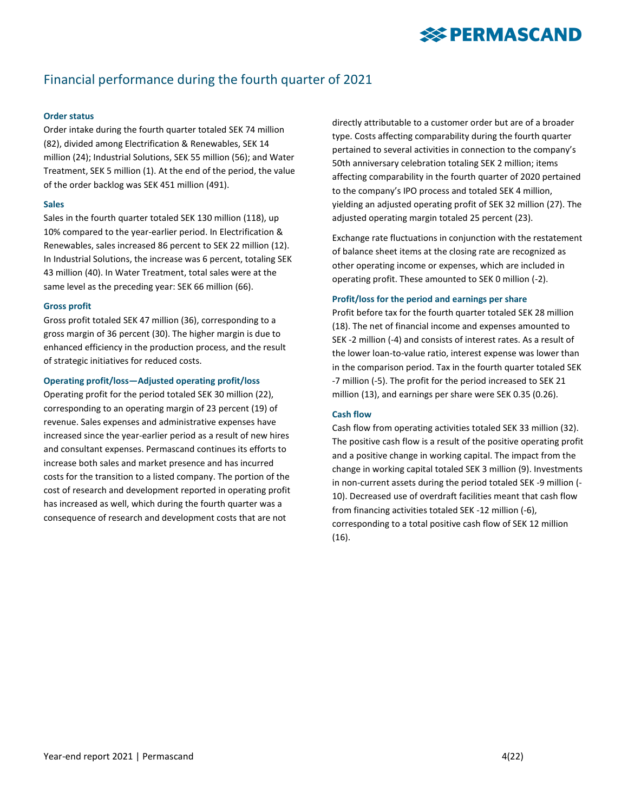## Financial performance during the fourth quarter of 2021

#### **Order status**

Order intake during the fourth quarter totaled SEK 74 million (82), divided among Electrification & Renewables, SEK 14 million (24); Industrial Solutions, SEK 55 million (56); and Water Treatment, SEK 5 million (1). At the end of the period, the value of the order backlog was SEK 451 million (491).

#### **Sales**

Sales in the fourth quarter totaled SEK 130 million (118), up 10% compared to the year-earlier period. In Electrification & Renewables, sales increased 86 percent to SEK 22 million (12). In Industrial Solutions, the increase was 6 percent, totaling SEK 43 million (40). In Water Treatment, total sales were at the same level as the preceding year: SEK 66 million (66).

#### **Gross profit**

Gross profit totaled SEK 47 million (36), corresponding to a gross margin of 36 percent (30). The higher margin is due to enhanced efficiency in the production process, and the result of strategic initiatives for reduced costs.

#### **Operating profit/loss—Adjusted operating profit/loss**

Operating profit for the period totaled SEK 30 million (22), corresponding to an operating margin of 23 percent (19) of revenue. Sales expenses and administrative expenses have increased since the year-earlier period as a result of new hires and consultant expenses. Permascand continues its efforts to increase both sales and market presence and has incurred costs for the transition to a listed company. The portion of the cost of research and development reported in operating profit has increased as well, which during the fourth quarter was a consequence of research and development costs that are not

directly attributable to a customer order but are of a broader type. Costs affecting comparability during the fourth quarter pertained to several activities in connection to the company's 50th anniversary celebration totaling SEK 2 million; items affecting comparability in the fourth quarter of 2020 pertained to the company's IPO process and totaled SEK 4 million, yielding an adjusted operating profit of SEK 32 million (27). The adjusted operating margin totaled 25 percent (23).

Exchange rate fluctuations in conjunction with the restatement of balance sheet items at the closing rate are recognized as other operating income or expenses, which are included in operating profit. These amounted to SEK 0 million (-2).

#### **Profit/loss for the period and earnings per share**

Profit before tax for the fourth quarter totaled SEK 28 million (18). The net of financial income and expenses amounted to SEK -2 million (-4) and consists of interest rates. As a result of the lower loan-to-value ratio, interest expense was lower than in the comparison period. Tax in the fourth quarter totaled SEK -7 million (-5). The profit for the period increased to SEK 21 million (13), and earnings per share were SEK 0.35 (0.26).

#### **Cash flow**

Cash flow from operating activities totaled SEK 33 million (32). The positive cash flow is a result of the positive operating profit and a positive change in working capital. The impact from the change in working capital totaled SEK 3 million (9). Investments in non-current assets during the period totaled SEK -9 million (- 10). Decreased use of overdraft facilities meant that cash flow from financing activities totaled SEK -12 million (-6), corresponding to a total positive cash flow of SEK 12 million (16).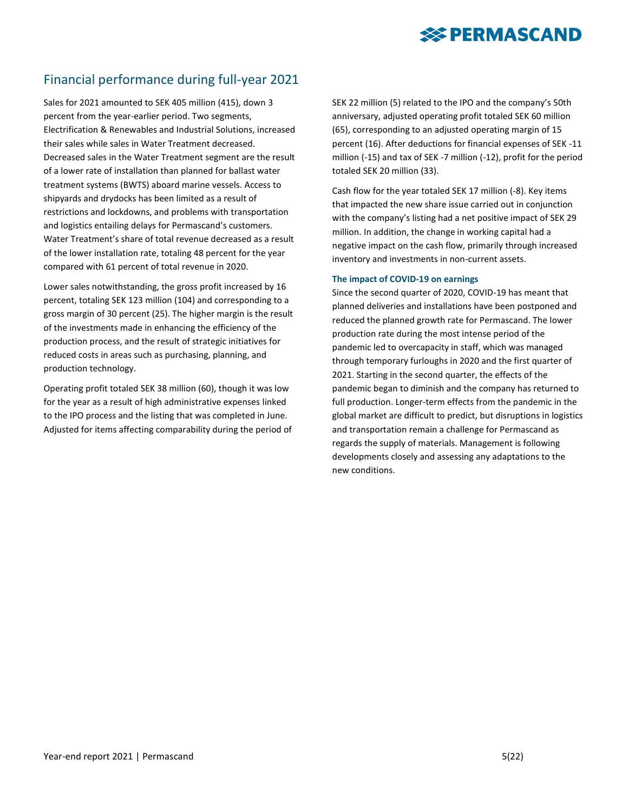# **SERMASCAND**

## Financial performance during full-year 2021

Sales for 2021 amounted to SEK 405 million (415), down 3 percent from the year-earlier period. Two segments, Electrification & Renewables and Industrial Solutions, increased their sales while sales in Water Treatment decreased. Decreased sales in the Water Treatment segment are the result of a lower rate of installation than planned for ballast water treatment systems (BWTS) aboard marine vessels. Access to shipyards and drydocks has been limited as a result of restrictions and lockdowns, and problems with transportation and logistics entailing delays for Permascand's customers. Water Treatment's share of total revenue decreased as a result of the lower installation rate, totaling 48 percent for the year compared with 61 percent of total revenue in 2020.

Lower sales notwithstanding, the gross profit increased by 16 percent, totaling SEK 123 million (104) and corresponding to a gross margin of 30 percent (25). The higher margin is the result of the investments made in enhancing the efficiency of the production process, and the result of strategic initiatives for reduced costs in areas such as purchasing, planning, and production technology.

Operating profit totaled SEK 38 million (60), though it was low for the year as a result of high administrative expenses linked to the IPO process and the listing that was completed in June. Adjusted for items affecting comparability during the period of SEK 22 million (5) related to the IPO and the company's 50th anniversary, adjusted operating profit totaled SEK 60 million (65), corresponding to an adjusted operating margin of 15 percent (16). After deductions for financial expenses of SEK -11 million (-15) and tax of SEK -7 million (-12), profit for the period totaled SEK 20 million (33).

Cash flow for the year totaled SEK 17 million (-8). Key items that impacted the new share issue carried out in conjunction with the company's listing had a net positive impact of SEK 29 million. In addition, the change in working capital had a negative impact on the cash flow, primarily through increased inventory and investments in non-current assets.

#### **The impact of COVID-19 on earnings**

Since the second quarter of 2020, COVID-19 has meant that planned deliveries and installations have been postponed and reduced the planned growth rate for Permascand. The lower production rate during the most intense period of the pandemic led to overcapacity in staff, which was managed through temporary furloughs in 2020 and the first quarter of 2021. Starting in the second quarter, the effects of the pandemic began to diminish and the company has returned to full production. Longer-term effects from the pandemic in the global market are difficult to predict, but disruptions in logistics and transportation remain a challenge for Permascand as regards the supply of materials. Management is following developments closely and assessing any adaptations to the new conditions.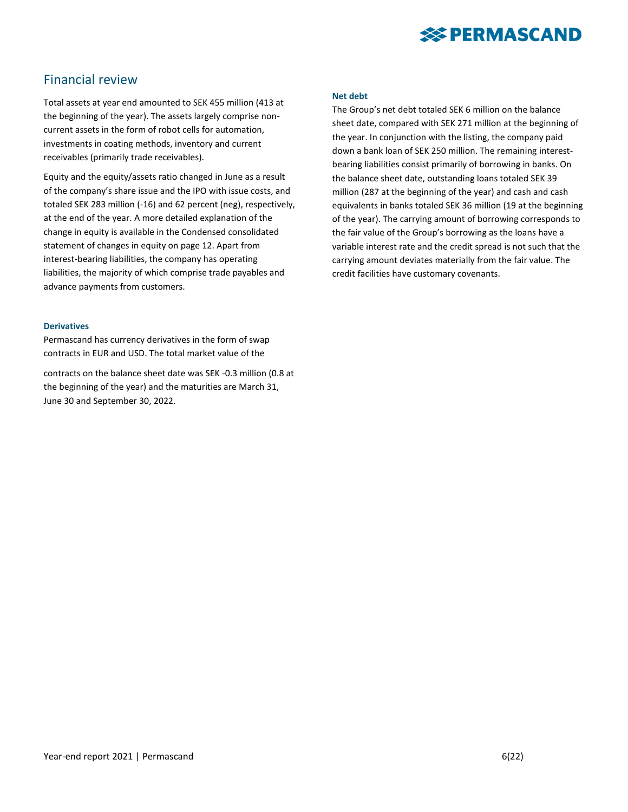

### Financial review

Total assets at year end amounted to SEK 455 million (413 at the beginning of the year). The assets largely comprise noncurrent assets in the form of robot cells for automation, investments in coating methods, inventory and current receivables (primarily trade receivables).

Equity and the equity/assets ratio changed in June as a result of the company's share issue and the IPO with issue costs, and totaled SEK 283 million (-16) and 62 percent (neg), respectively, at the end of the year. A more detailed explanation of the change in equity is available in the Condensed consolidated statement of changes in equity on page 12. Apart from interest-bearing liabilities, the company has operating liabilities, the majority of which comprise trade payables and advance payments from customers.

#### **Derivatives**

Permascand has currency derivatives in the form of swap contracts in EUR and USD. The total market value of the

contracts on the balance sheet date was SEK -0.3 million (0.8 at the beginning of the year) and the maturities are March 31, June 30 and September 30, 2022.

#### **Net debt**

The Group's net debt totaled SEK 6 million on the balance sheet date, compared with SEK 271 million at the beginning of the year. In conjunction with the listing, the company paid down a bank loan of SEK 250 million. The remaining interestbearing liabilities consist primarily of borrowing in banks. On the balance sheet date, outstanding loans totaled SEK 39 million (287 at the beginning of the year) and cash and cash equivalents in banks totaled SEK 36 million (19 at the beginning of the year). The carrying amount of borrowing corresponds to the fair value of the Group's borrowing as the loans have a variable interest rate and the credit spread is not such that the carrying amount deviates materially from the fair value. The credit facilities have customary covenants.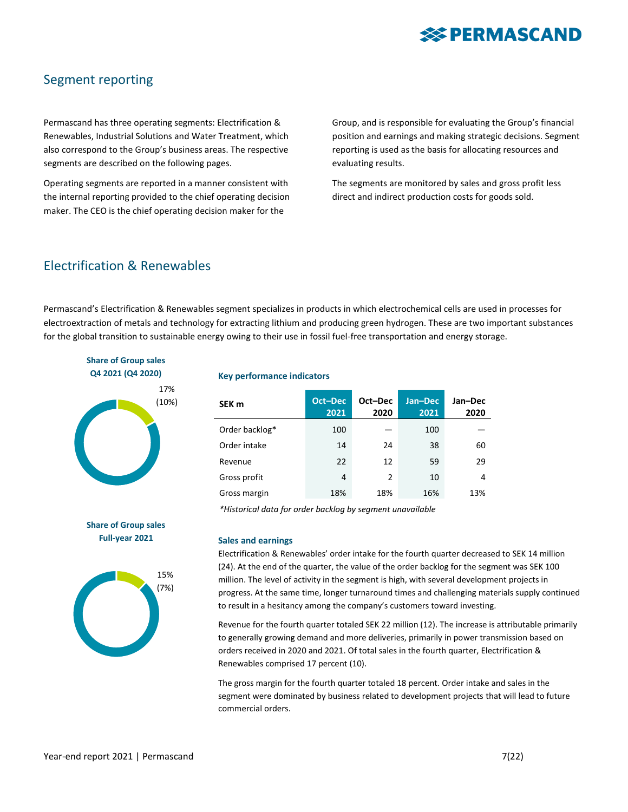

### Segment reporting

Permascand has three operating segments: Electrification & Renewables, Industrial Solutions and Water Treatment, which also correspond to the Group's business areas. The respective segments are described on the following pages.

Operating segments are reported in a manner consistent with the internal reporting provided to the chief operating decision maker. The CEO is the chief operating decision maker for the

Group, and is responsible for evaluating the Group's financial position and earnings and making strategic decisions. Segment reporting is used as the basis for allocating resources and evaluating results.

The segments are monitored by sales and gross profit less direct and indirect production costs for goods sold.

### Electrification & Renewables

Permascand's Electrification & Renewables segment specializes in products in which electrochemical cells are used in processes for electroextraction of metals and technology for extracting lithium and producing green hydrogen. These are two important substances for the global transition to sustainable energy owing to their use in fossil fuel-free transportation and energy storage.



#### **Key performance indicators**

| SEK <sub>m</sub> | Oct-Dec<br>2021 | Oct-Dec<br>2020 | Jan-Dec<br>2021 | Jan-Dec<br>2020 |
|------------------|-----------------|-----------------|-----------------|-----------------|
| Order backlog*   | 100             |                 | 100             |                 |
| Order intake     | 14              | 24              | 38              | 60              |
| Revenue          | 22              | 12              | 59              | 29              |
| Gross profit     | 4               | $\overline{2}$  | 10              | 4               |
| Gross margin     | 18%             | 18%             | 16%             | 13%             |

*\*Historical data for order backlog by segment unavailable*

### **Share of Group sales Full-year 2021**



#### **Sales and earnings**

Electrification & Renewables' order intake for the fourth quarter decreased to SEK 14 million (24). At the end of the quarter, the value of the order backlog for the segment was SEK 100 million. The level of activity in the segment is high, with several development projects in progress. At the same time, longer turnaround times and challenging materials supply continued to result in a hesitancy among the company's customers toward investing.

Revenue for the fourth quarter totaled SEK 22 million (12). The increase is attributable primarily to generally growing demand and more deliveries, primarily in power transmission based on orders received in 2020 and 2021. Of total sales in the fourth quarter, Electrification & Renewables comprised 17 percent (10).

The gross margin for the fourth quarter totaled 18 percent. Order intake and sales in the segment were dominated by business related to development projects that will lead to future commercial orders.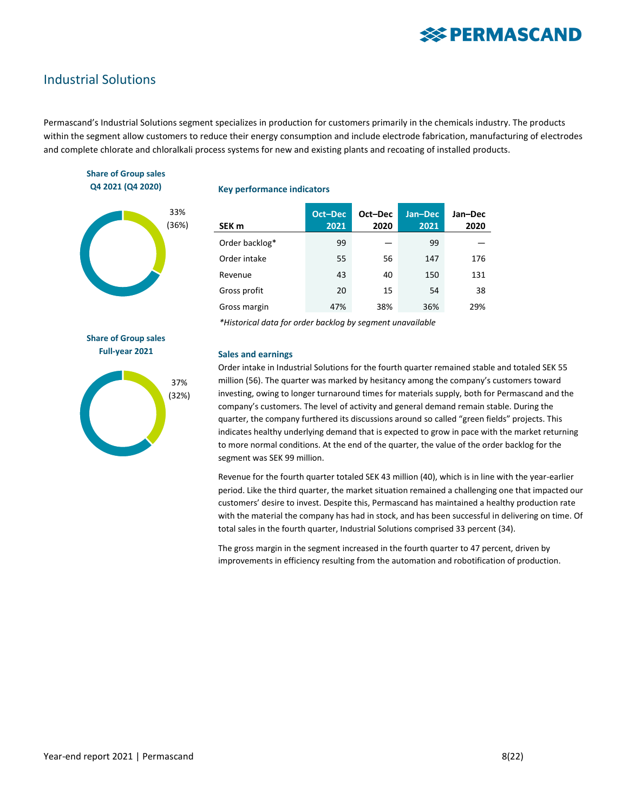### Industrial Solutions

Permascand's Industrial Solutions segment specializes in production for customers primarily in the chemicals industry. The products within the segment allow customers to reduce their energy consumption and include electrode fabrication, manufacturing of electrodes and complete chlorate and chloralkali process systems for new and existing plants and recoating of installed products.

#### **Share of Group sales Q4 2021 (Q4 2020)**



#### **Key performance indicators**

| SEK m          | Oct-Dec<br>2021 | Oct-Dec<br>2020 | Jan-Dec<br>2021 | Jan-Dec<br>2020 |
|----------------|-----------------|-----------------|-----------------|-----------------|
| Order backlog* | 99              |                 | 99              |                 |
| Order intake   | 55              | 56              | 147             | 176             |
| Revenue        | 43              | 40              | 150             | 131             |
| Gross profit   | 20              | 15              | 54              | 38              |
| Gross margin   | 47%             | 38%             | 36%             | 29%             |

*\*Historical data for order backlog by segment unavailable*

**Share of Group sales Full-year 2021**



#### **Sales and earnings**

Order intake in Industrial Solutions for the fourth quarter remained stable and totaled SEK 55 million (56). The quarter was marked by hesitancy among the company's customers toward investing, owing to longer turnaround times for materials supply, both for Permascand and the company's customers. The level of activity and general demand remain stable. During the quarter, the company furthered its discussions around so called "green fields" projects. This indicates healthy underlying demand that is expected to grow in pace with the market returning to more normal conditions. At the end of the quarter, the value of the order backlog for the segment was SEK 99 million.

Revenue for the fourth quarter totaled SEK 43 million (40), which is in line with the year-earlier period. Like the third quarter, the market situation remained a challenging one that impacted our customers' desire to invest. Despite this, Permascand has maintained a healthy production rate with the material the company has had in stock, and has been successful in delivering on time. Of total sales in the fourth quarter, Industrial Solutions comprised 33 percent (34).

The gross margin in the segment increased in the fourth quarter to 47 percent, driven by improvements in efficiency resulting from the automation and robotification of production.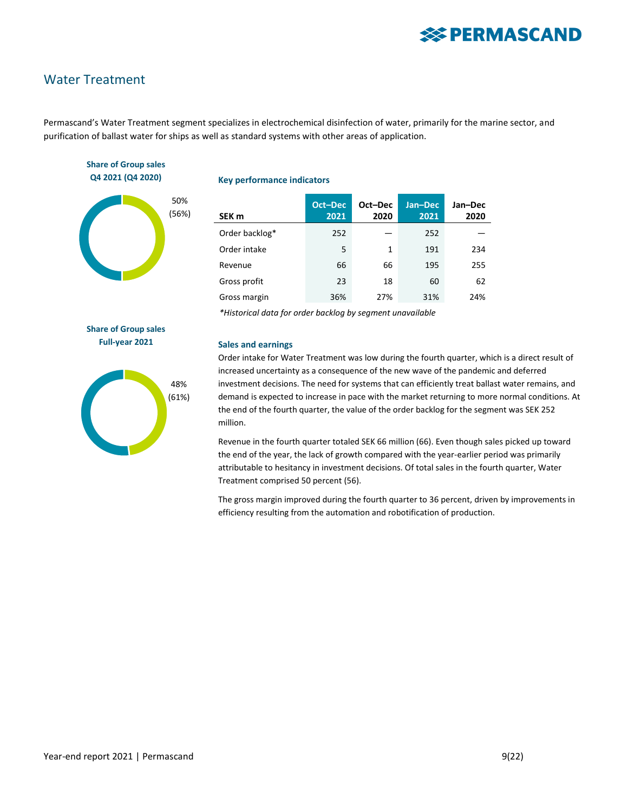### Water Treatment

Permascand's Water Treatment segment specializes in electrochemical disinfection of water, primarily for the marine sector, and purification of ballast water for ships as well as standard systems with other areas of application.

#### **Share of Group sales Q4 2021 (Q4 2020)**



#### **Key performance indicators**

| SEK <sub>m</sub> | Oct-Dec<br>2021 | Oct-Dec<br>2020 | Jan-Dec<br>2021 | Jan-Dec<br>2020 |
|------------------|-----------------|-----------------|-----------------|-----------------|
| Order backlog*   | 252             |                 | 252             |                 |
| Order intake     | 5               | 1               | 191             | 234             |
| Revenue          | 66              | 66              | 195             | 255             |
| Gross profit     | 23              | 18              | 60              | 62              |
| Gross margin     | 36%             | 27%             | 31%             | 24%             |

*\*Historical data for order backlog by segment unavailable*

**Share of Group sales Full-year 2021**



#### **Sales and earnings**

Order intake for Water Treatment was low during the fourth quarter, which is a direct result of increased uncertainty as a consequence of the new wave of the pandemic and deferred investment decisions. The need for systems that can efficiently treat ballast water remains, and demand is expected to increase in pace with the market returning to more normal conditions. At the end of the fourth quarter, the value of the order backlog for the segment was SEK 252 million.

Revenue in the fourth quarter totaled SEK 66 million (66). Even though sales picked up toward the end of the year, the lack of growth compared with the year-earlier period was primarily attributable to hesitancy in investment decisions. Of total sales in the fourth quarter, Water Treatment comprised 50 percent (56).

The gross margin improved during the fourth quarter to 36 percent, driven by improvements in efficiency resulting from the automation and robotification of production.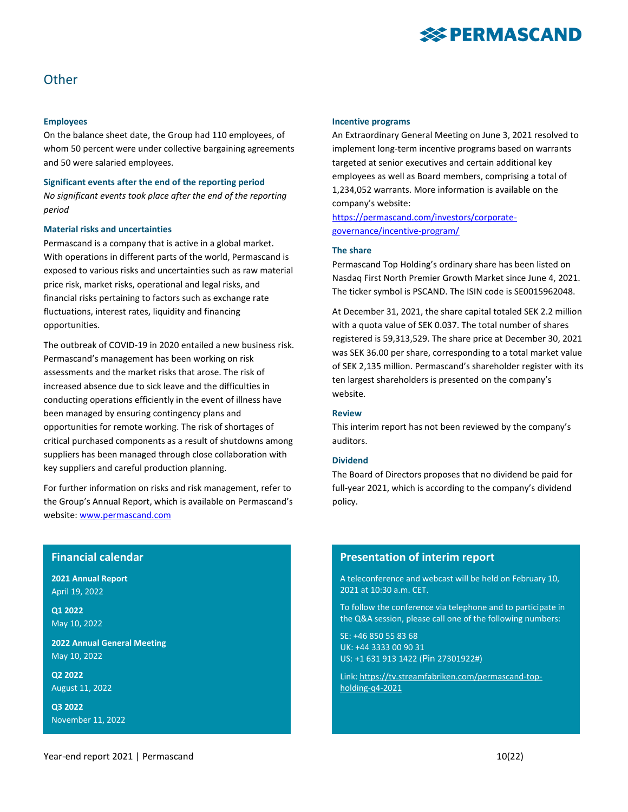

### **Other**

#### **Employees**

On the balance sheet date, the Group had 110 employees, of whom 50 percent were under collective bargaining agreements and 50 were salaried employees.

**Significant events after the end of the reporting period** *No significant events took place after the end of the reporting period*

#### **Material risks and uncertainties**

Permascand is a company that is active in a global market. With operations in different parts of the world, Permascand is exposed to various risks and uncertainties such as raw material price risk, market risks, operational and legal risks, and financial risks pertaining to factors such as exchange rate fluctuations, interest rates, liquidity and financing opportunities.

The outbreak of COVID-19 in 2020 entailed a new business risk. Permascand's management has been working on risk assessments and the market risks that arose. The risk of increased absence due to sick leave and the difficulties in conducting operations efficiently in the event of illness have been managed by ensuring contingency plans and opportunities for remote working. The risk of shortages of critical purchased components as a result of shutdowns among suppliers has been managed through close collaboration with key suppliers and careful production planning.

For further information on risks and risk management, refer to the Group's Annual Report, which is available on Permascand's website[: www.permascand.com](http://www.permascand.com/)

#### **Financial calendar**

**2021 Annual Report** April 19, 2022

**Q1 2022** May 10, 2022

**2022 Annual General Meeting** May 10, 2022

**Q2 2022** August 11, 2022

**Q3 2022** November 11, 2022

#### **Incentive programs**

An Extraordinary General Meeting on June 3, 2021 resolved to implement long-term incentive programs based on warrants targeted at senior executives and certain additional key employees as well as Board members, comprising a total of 1,234,052 warrants. More information is available on the company's website:

[https://permascand.com/investors/corporate](https://permascand.com/investors/corporate-governance/incentive-program/)[governance/incentive-program/](https://permascand.com/investors/corporate-governance/incentive-program/)

#### **The share**

Permascand Top Holding's ordinary share has been listed on Nasdaq First North Premier Growth Market since June 4, 2021. The ticker symbol is PSCAND. The ISIN code is SE0015962048.

At December 31, 2021, the share capital totaled SEK 2.2 million with a quota value of SEK 0.037. The total number of shares registered is 59,313,529. The share price at December 30, 2021 was SEK 36.00 per share, corresponding to a total market value of SEK 2,135 million. Permascand's shareholder register with its ten largest shareholders is presented on the company's website.

#### **Review**

This interim report has not been reviewed by the company's auditors.

#### **Dividend**

The Board of Directors proposes that no dividend be paid for full-year 2021, which is according to the company's dividend policy.

#### **Presentation of interim report**

A teleconference and webcast will be held on February 10, 2021 at 10:30 a.m. CET.

To follow the conference via telephone and to participate in the Q&A session, please call one of the following numbers:

SE: +46 850 55 83 68 UK: +44 3333 00 90 31 US: +1 631 913 1422 (Pin 27301922#)

Link: [https://tv.streamfabriken.com/permascand-top](https://tv.streamfabriken.com/permascand-top-holding-q4-2021)[holding-q4-2021](https://tv.streamfabriken.com/permascand-top-holding-q4-2021)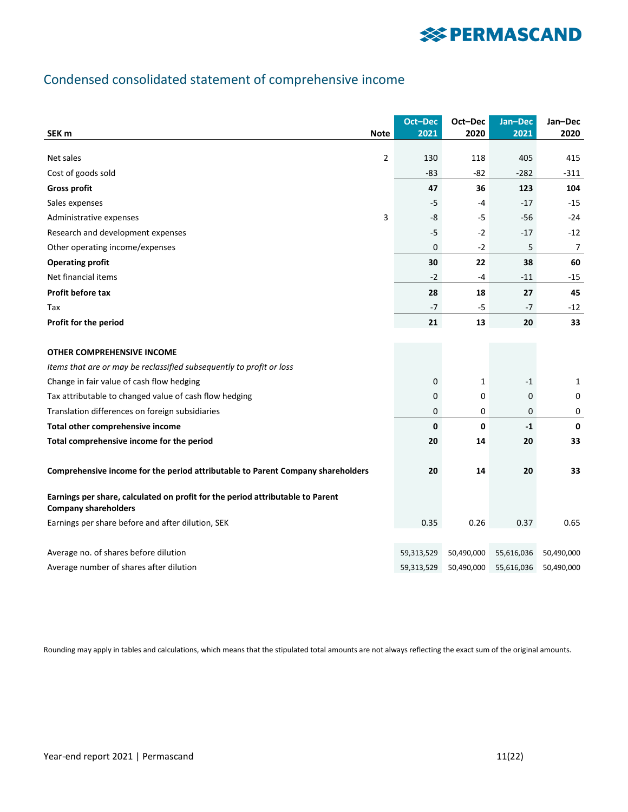## Condensed consolidated statement of comprehensive income

| SEK <sub>m</sub><br><b>Note</b>                                                                               |   | Oct-Dec<br>2021 | Oct-Dec<br>2020 | Jan-Dec<br>2021 | Jan-Dec<br>2020 |
|---------------------------------------------------------------------------------------------------------------|---|-----------------|-----------------|-----------------|-----------------|
|                                                                                                               |   |                 |                 |                 |                 |
| Net sales                                                                                                     | 2 | 130             | 118             | 405             | 415             |
| Cost of goods sold                                                                                            |   | -83             | $-82$           | $-282$          | $-311$          |
| <b>Gross profit</b>                                                                                           |   | 47              | 36              | 123             | 104             |
| Sales expenses                                                                                                |   | $-5$            | $-4$            | $-17$           | $-15$           |
| Administrative expenses                                                                                       | 3 | -8              | $-5$            | $-56$           | $-24$           |
| Research and development expenses                                                                             |   | $-5$            | $-2$            | $-17$           | $-12$           |
| Other operating income/expenses                                                                               |   | 0               | $-2$            | 5               | 7               |
| <b>Operating profit</b>                                                                                       |   | 30              | 22              | 38              | 60              |
| Net financial items                                                                                           |   | $-2$            | -4              | $-11$           | -15             |
| <b>Profit before tax</b>                                                                                      |   | 28              | 18              | 27              | 45              |
| Tax                                                                                                           |   | -7              | -5              | $-7$            | $-12$           |
| Profit for the period                                                                                         |   | 21              | 13              | 20              | 33              |
|                                                                                                               |   |                 |                 |                 |                 |
| OTHER COMPREHENSIVE INCOME                                                                                    |   |                 |                 |                 |                 |
| Items that are or may be reclassified subsequently to profit or loss                                          |   |                 |                 |                 |                 |
| Change in fair value of cash flow hedging                                                                     |   | 0               | 1               | $-1$            | 1               |
| Tax attributable to changed value of cash flow hedging                                                        |   | 0               | 0               | 0               | 0               |
| Translation differences on foreign subsidiaries                                                               |   | 0               | 0               | 0               | 0               |
| Total other comprehensive income                                                                              |   | 0               | $\mathbf{0}$    | $-1$            | $\mathbf 0$     |
| Total comprehensive income for the period                                                                     |   | 20              | 14              | 20              | 33              |
|                                                                                                               |   |                 |                 |                 |                 |
| Comprehensive income for the period attributable to Parent Company shareholders                               |   | 20              | 14              | 20              | 33              |
| Earnings per share, calculated on profit for the period attributable to Parent<br><b>Company shareholders</b> |   |                 |                 |                 |                 |
| Earnings per share before and after dilution, SEK                                                             |   | 0.35            | 0.26            | 0.37            | 0.65            |
|                                                                                                               |   |                 |                 |                 |                 |
| Average no. of shares before dilution                                                                         |   | 59,313,529      | 50,490,000      | 55,616,036      | 50,490,000      |
| Average number of shares after dilution                                                                       |   | 59,313,529      | 50,490,000      | 55,616,036      | 50,490,000      |

Rounding may apply in tables and calculations, which means that the stipulated total amounts are not always reflecting the exact sum of the original amounts.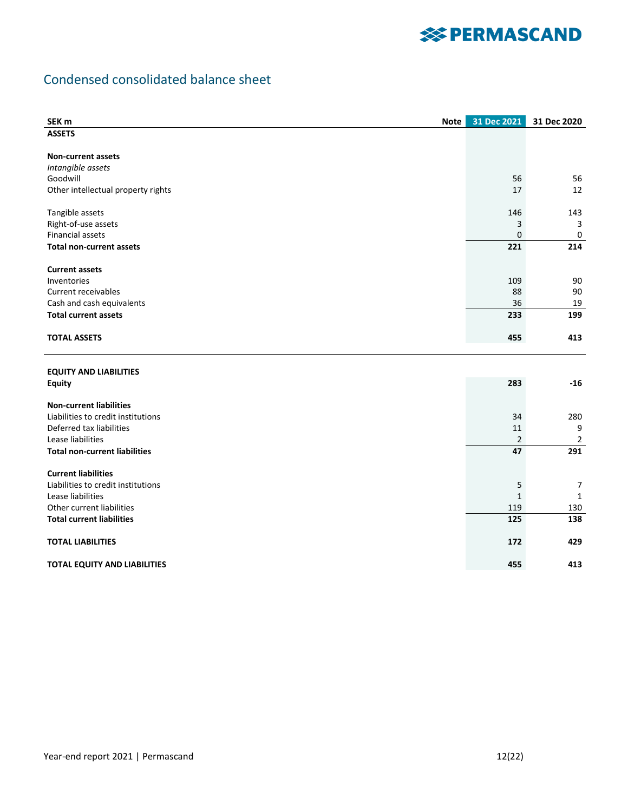## **※ PERMASCAND**

## Condensed consolidated balance sheet

| SEK <sub>m</sub>                     | Note | 31 Dec 2021    | 31 Dec 2020    |
|--------------------------------------|------|----------------|----------------|
| <b>ASSETS</b>                        |      |                |                |
|                                      |      |                |                |
| <b>Non-current assets</b>            |      |                |                |
| Intangible assets                    |      |                |                |
| Goodwill                             |      | 56             | 56             |
| Other intellectual property rights   |      | 17             | 12             |
| Tangible assets                      |      | 146            | 143            |
| Right-of-use assets                  |      | 3              | 3              |
| <b>Financial assets</b>              |      | 0              | 0              |
| <b>Total non-current assets</b>      |      | 221            | 214            |
|                                      |      |                |                |
| <b>Current assets</b>                |      |                |                |
| Inventories                          |      | 109            | 90             |
| Current receivables                  |      | 88             | 90             |
| Cash and cash equivalents            |      | 36             | 19             |
| <b>Total current assets</b>          |      | 233            | 199            |
| <b>TOTAL ASSETS</b>                  |      | 455            | 413            |
| <b>EQUITY AND LIABILITIES</b>        |      |                |                |
| <b>Equity</b>                        |      | 283            | $-16$          |
|                                      |      |                |                |
| <b>Non-current liabilities</b>       |      |                |                |
| Liabilities to credit institutions   |      | 34             | 280            |
| Deferred tax liabilities             |      | 11             | 9              |
| Lease liabilities                    |      | $\overline{2}$ | $\overline{2}$ |
| <b>Total non-current liabilities</b> |      | 47             | 291            |
| <b>Current liabilities</b>           |      |                |                |
| Liabilities to credit institutions   |      | 5              | $\overline{7}$ |
| Lease liabilities                    |      | $\mathbf{1}$   | 1              |
| Other current liabilities            |      | 119            | 130            |
| <b>Total current liabilities</b>     |      | 125            | 138            |
|                                      |      |                |                |
| <b>TOTAL LIABILITIES</b>             |      | 172            | 429            |
| <b>TOTAL EQUITY AND LIABILITIES</b>  |      | 455            | 413            |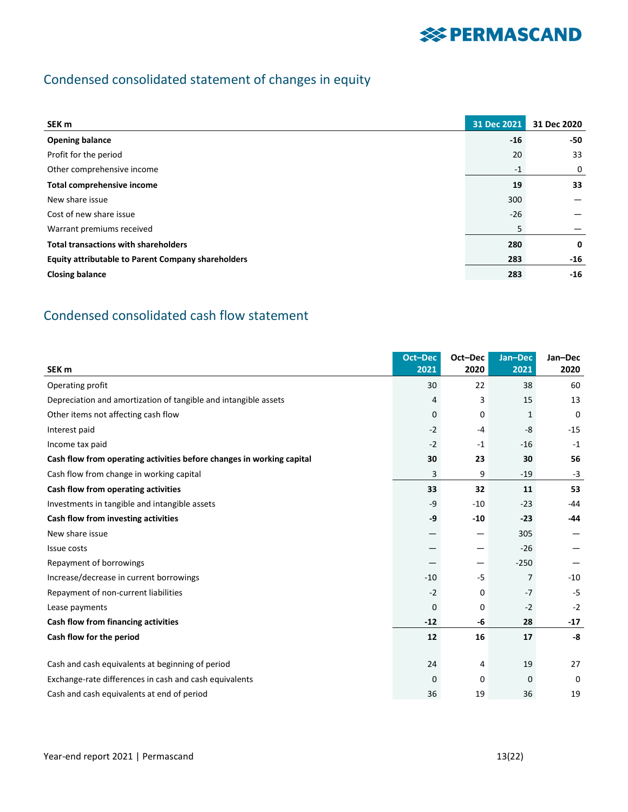## Condensed consolidated statement of changes in equity

| SEK m                                                     | 31 Dec 2021 | 31 Dec 2020 |
|-----------------------------------------------------------|-------------|-------------|
| <b>Opening balance</b>                                    | $-16$       | -50         |
| Profit for the period                                     | 20          | 33          |
| Other comprehensive income                                | $-1$        | 0           |
| Total comprehensive income                                | 19          | 33          |
| New share issue                                           | 300         |             |
| Cost of new share issue                                   | $-26$       |             |
| Warrant premiums received                                 | 5           |             |
| <b>Total transactions with shareholders</b>               | 280         | $\mathbf 0$ |
| <b>Equity attributable to Parent Company shareholders</b> | 283         | $-16$       |
| <b>Closing balance</b>                                    | 283         | $-16$       |

## Condensed consolidated cash flow statement

| SEK <sub>m</sub>                                                      | <b>Oct-Dec</b><br>2021 | Oct-Dec<br>2020          | Jan-Dec<br>2021 | Jan-Dec<br>2020 |
|-----------------------------------------------------------------------|------------------------|--------------------------|-----------------|-----------------|
| Operating profit                                                      | 30                     | 22                       | 38              | 60              |
| Depreciation and amortization of tangible and intangible assets       | 4                      | 3                        | 15              | 13              |
| Other items not affecting cash flow                                   | 0                      | 0                        | $\mathbf{1}$    | $\Omega$        |
| Interest paid                                                         | $-2$                   | -4                       | $-8$            | $-15$           |
| Income tax paid                                                       | $-2$                   | $-1$                     | $-16$           | $-1$            |
| Cash flow from operating activities before changes in working capital | 30                     | 23                       | 30              | 56              |
| Cash flow from change in working capital                              | 3                      | 9                        | $-19$           | $-3$            |
| Cash flow from operating activities                                   | 33                     | 32                       | 11              | 53              |
| Investments in tangible and intangible assets                         | -9                     | $-10$                    | $-23$           | $-44$           |
| Cash flow from investing activities                                   | -9                     | $-10$                    | $-23$           | $-44$           |
| New share issue                                                       |                        | —                        | 305             |                 |
| Issue costs                                                           |                        | —                        | $-26$           |                 |
| Repayment of borrowings                                               |                        | $\overline{\phantom{0}}$ | $-250$          |                 |
| Increase/decrease in current borrowings                               | $-10$                  | -5                       | 7               | $-10$           |
| Repayment of non-current liabilities                                  | $-2$                   | 0                        | $-7$            | $-5$            |
| Lease payments                                                        | 0                      | 0                        | $-2$            | $-2$            |
| Cash flow from financing activities                                   | $-12$                  | -6                       | 28              | $-17$           |
| Cash flow for the period                                              | 12                     | 16                       | 17              | -8              |
|                                                                       |                        |                          |                 |                 |
| Cash and cash equivalents at beginning of period                      | 24                     | 4                        | 19              | 27              |
| Exchange-rate differences in cash and cash equivalents                | 0                      | 0                        | 0               | $\Omega$        |
| Cash and cash equivalents at end of period                            | 36                     | 19                       | 36              | 19              |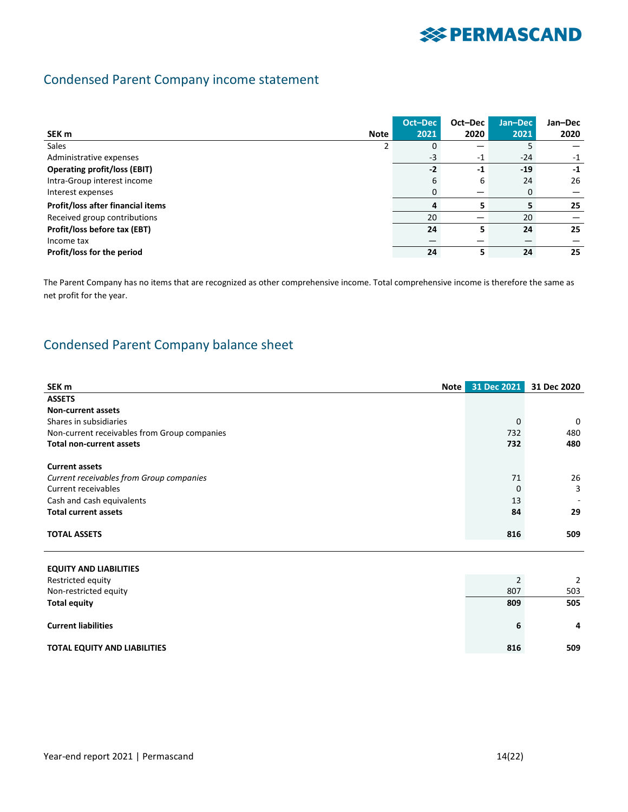## Condensed Parent Company income statement

|                                     |             | Oct-Dec | Oct-Dec | Jan-Dec | Jan-Dec |
|-------------------------------------|-------------|---------|---------|---------|---------|
| SEK <sub>m</sub>                    | <b>Note</b> | 2021    | 2020    | 2021    | 2020    |
| Sales                               |             | 0       |         |         |         |
| Administrative expenses             |             | $-3$    | $-1$    | $-24$   | $-1$    |
| <b>Operating profit/loss (EBIT)</b> |             | $-2$    | -1      | $-19$   | $-1$    |
| Intra-Group interest income         |             | 6       | 6       | 24      | 26      |
| Interest expenses                   |             | 0       |         | 0       |         |
| Profit/loss after financial items   |             | 4       | 5       |         | 25      |
| Received group contributions        |             | 20      |         | 20      |         |
| Profit/loss before tax (EBT)        |             | 24      | 5       | 24      | 25      |
| Income tax                          |             |         |         |         |         |
| Profit/loss for the period          |             | 24      | 5       | 24      | 25      |

The Parent Company has no items that are recognized as other comprehensive income. Total comprehensive income is therefore the same as net profit for the year.

## Condensed Parent Company balance sheet

| SEK m<br><b>Note</b>                         | 31 Dec 2021 | 31 Dec 2020              |
|----------------------------------------------|-------------|--------------------------|
| <b>ASSETS</b>                                |             |                          |
| <b>Non-current assets</b>                    |             |                          |
| Shares in subsidiaries                       | $\Omega$    | 0                        |
| Non-current receivables from Group companies | 732         | 480                      |
| <b>Total non-current assets</b>              | 732         | 480                      |
|                                              |             |                          |
| <b>Current assets</b>                        |             |                          |
| Current receivables from Group companies     | 71          | 26                       |
| Current receivables                          | $\Omega$    | 3                        |
| Cash and cash equivalents                    | 13          | $\overline{\phantom{0}}$ |
| <b>Total current assets</b>                  | 84          | 29                       |
|                                              |             |                          |
| <b>TOTAL ASSETS</b>                          | 816         | 509                      |
|                                              |             |                          |

| <b>EQUITY AND LIABILITIES</b>       |     |     |
|-------------------------------------|-----|-----|
| Restricted equity                   |     | 2   |
| Non-restricted equity               | 807 | 503 |
| <b>Total equity</b>                 | 809 | 505 |
|                                     |     |     |
| <b>Current liabilities</b>          | 6   | 4   |
|                                     |     |     |
| <b>TOTAL EQUITY AND LIABILITIES</b> | 816 | 509 |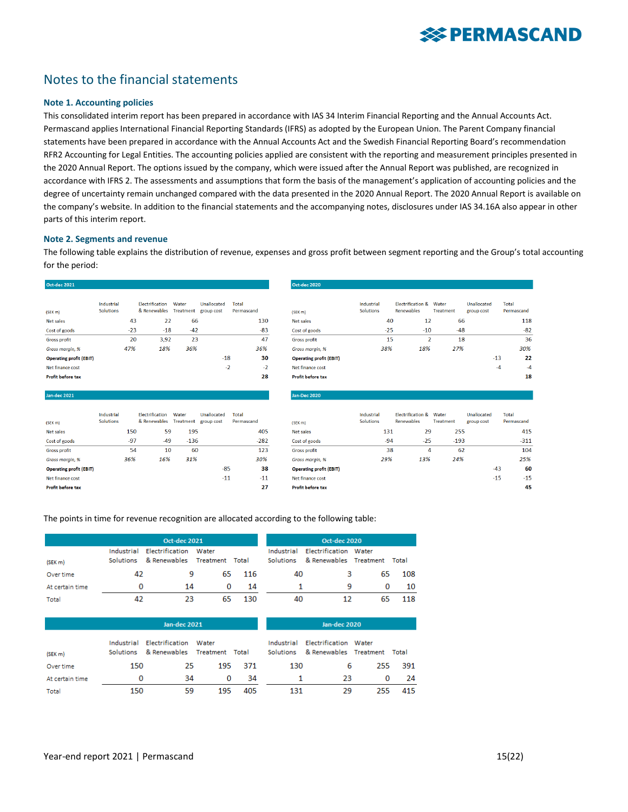## Notes to the financial statements

#### **Note 1. Accounting policies**

This consolidated interim report has been prepared in accordance with IAS 34 Interim Financial Reporting and the Annual Accounts Act. Permascand applies International Financial Reporting Standards (IFRS) as adopted by the European Union. The Parent Company financial statements have been prepared in accordance with the Annual Accounts Act and the Swedish Financial Reporting Board's recommendation RFR2 Accounting for Legal Entities. The accounting policies applied are consistent with the reporting and measurement principles presented in the 2020 Annual Report. The options issued by the company, which were issued after the Annual Report was published, are recognized in accordance with IFRS 2. The assessments and assumptions that form the basis of the management's application of accounting policies and the degree of uncertainty remain unchanged compared with the data presented in the 2020 Annual Report. The 2020 Annual Report is available on the company's website. In addition to the financial statements and the accompanying notes, disclosures under IAS 34.16A also appear in other parts of this interim report.

#### **Note 2. Segments and revenue**

The following table explains the distribution of revenue, expenses and gross profit between segment reporting and the Group's total accounting for the period:

| Oct-dec 2021                   |                                |       |                                        |                    |                           |                     | <b>Oct-dec 2020</b>            |
|--------------------------------|--------------------------------|-------|----------------------------------------|--------------------|---------------------------|---------------------|--------------------------------|
| (SEKm)                         | Industrial<br><b>Solutions</b> |       | <b>Flectrification</b><br>& Renewables | Water<br>Treatment | Unallocated<br>group cost | Total<br>Permascand | (SEK m)                        |
| Net sales                      |                                | 43    | 22                                     | 66                 |                           | 130                 | <b>Net sales</b>               |
| Cost of goods                  |                                | $-23$ | $-18$                                  | $-42$              |                           | $-83$               | Cost of goods                  |
| <b>Gross profit</b>            |                                | 20    | 3,92                                   | 23                 |                           | 47                  | <b>Gross profit</b>            |
| Gross marain, %                |                                | 47%   | 18%                                    | 36%                |                           | 36%                 | Gross marain, %                |
| <b>Operating profit (EBIT)</b> |                                |       |                                        |                    | $-18$                     | 30                  | <b>Operating profit (EBIT)</b> |
| Net finance cost               |                                |       |                                        |                    | $-2$                      | $-2$                | Net finance cost               |
| <b>Profit before tax</b>       |                                |       |                                        |                    |                           | 28                  | <b>Profit before tax</b>       |

| (SEK m)                        | Industrial<br><b>Solutions</b> |       | <b>Flectrification</b><br>& Renewables | Water<br><b>Treatment</b> | Unallocated<br>group cost | Total<br>Permascand |
|--------------------------------|--------------------------------|-------|----------------------------------------|---------------------------|---------------------------|---------------------|
| Net sales                      |                                | 150   | 59                                     | 195                       |                           | 405                 |
| Cost of goods                  |                                | $-97$ | $-49$                                  | $-136$                    |                           | $-282$              |
| <b>Gross profit</b>            |                                | 54    | 10                                     | 60                        |                           | 123                 |
| Gross margin, %                |                                | 36%   | 16%                                    | 31%                       |                           | 30%                 |
| <b>Operating profit (EBIT)</b> |                                |       |                                        |                           | $-85$                     | 38                  |
| Net finance cost               |                                |       |                                        |                           | $-11$                     | $-11$               |
| Profit before tax              |                                |       |                                        |                           |                           | 27                  |

| (SEK m)                        | Industrial<br><b>Solutions</b> |       | <b>Electrification &amp;</b><br><b>Renewables</b> | Water<br><b>Treatment</b> | Unallocated<br>group cost | Total<br>Permascand        |
|--------------------------------|--------------------------------|-------|---------------------------------------------------|---------------------------|---------------------------|----------------------------|
| <b>Net sales</b>               |                                | 40    | 12                                                | 66                        |                           | 118                        |
| Cost of goods                  |                                | $-25$ | $-10$                                             | $-48$                     |                           | $-82$                      |
| <b>Gross profit</b>            |                                | 15    | $\overline{2}$                                    | 18                        |                           | 36                         |
| Gross margin, %                | 38%                            |       | 18%                                               | 27%                       |                           | 30%                        |
| <b>Operating profit (EBIT)</b> |                                |       |                                                   |                           | $-13$                     | 22                         |
| Net finance cost               |                                |       |                                                   |                           | $-4$                      | $-4$                       |
| <b>Profit before tax</b>       |                                |       |                                                   |                           |                           | 18                         |
| <b>Jan-Dec 2020</b>            |                                |       |                                                   |                           |                           |                            |
|                                | Industrial<br><b>Solutions</b> |       | <b>Electrification &amp;</b><br><b>Renewables</b> | Water<br><b>Treatment</b> | Unallocated<br>group cost | <b>Total</b><br>Permascand |
| (SEK m)                        |                                |       |                                                   |                           |                           |                            |
| Net sales                      | 131                            |       | 29                                                | 255                       |                           | 415                        |
| Cost of goods                  |                                | $-94$ | $-25$                                             | $-193$                    |                           | $-311$                     |

| net sales                      | 151   | 79    | ככי    |       | 413    |
|--------------------------------|-------|-------|--------|-------|--------|
| Cost of goods                  | $-94$ | $-25$ | $-193$ |       | $-311$ |
| <b>Gross profit</b>            | 38    | 4     | 62     |       | 104    |
| Gross margin, %                | 29%   | 13%   | 24%    |       | 25%    |
| <b>Operating profit (EBIT)</b> |       |       |        | $-43$ | 60     |
| Net finance cost               |       |       |        | $-15$ | $-15$  |
| Profit hafora tav              |       |       |        |       | л.     |

The points in time for revenue recognition are allocated according to the following table:

|                 | <b>Oct-dec 2021</b>     |                                 |                    |       |                                | <b>Oct-dec 2020</b>                             |    |       |
|-----------------|-------------------------|---------------------------------|--------------------|-------|--------------------------------|-------------------------------------------------|----|-------|
| (SEK m)         | Industrial<br>Solutions | Electrification<br>& Renewables | Water<br>Treatment | Total | Industrial<br><b>Solutions</b> | Electrification Water<br>& Renewables Treatment |    | Total |
| Over time       | 42                      | 9                               | 65.                | 116   | 40                             | з                                               | 65 | 108   |
| At certain time | 0                       | 14                              | 0                  | 14    |                                | 9                                               |    | 10    |
| Total           | 42                      | 23                              | 65                 | 130   | 40                             | 12                                              | 65 | 118   |

|                     | <b>Jan-dec 2021</b>            |                                          |                 |     |                                | Jan-dec 2020                                    |     |       |
|---------------------|--------------------------------|------------------------------------------|-----------------|-----|--------------------------------|-------------------------------------------------|-----|-------|
| (SEK <sub>m</sub> ) | Industrial<br><b>Solutions</b> | Electrification<br>Water<br>& Renewables | Treatment Total |     | Industrial<br><b>Solutions</b> | Electrification Water<br>& Renewables Treatment |     | Total |
| Over time           | 150                            | 25                                       | 195             | 371 | 130                            | 6                                               | 255 | -391  |
| At certain time     | 0                              | 34                                       | 0               | -34 |                                | 23                                              | 0   | 24    |
| Total               | 150                            | 59                                       | 195             | 405 | 131                            | 29                                              | 255 | 415   |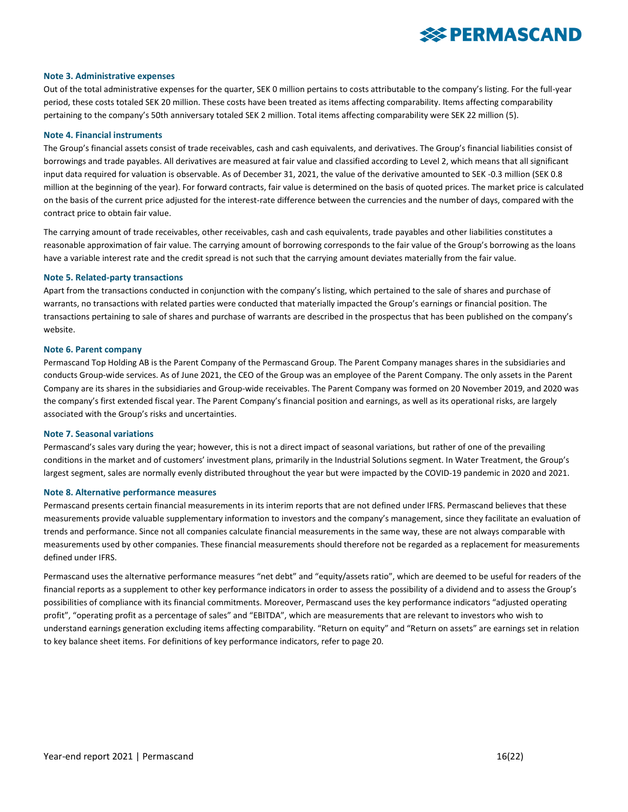

#### **Note 3. Administrative expenses**

Out of the total administrative expenses for the quarter, SEK 0 million pertains to costs attributable to the company's listing. For the full-year period, these costs totaled SEK 20 million. These costs have been treated as items affecting comparability. Items affecting comparability pertaining to the company's 50th anniversary totaled SEK 2 million. Total items affecting comparability were SEK 22 million (5).

#### **Note 4. Financial instruments**

The Group's financial assets consist of trade receivables, cash and cash equivalents, and derivatives. The Group's financial liabilities consist of borrowings and trade payables. All derivatives are measured at fair value and classified according to Level 2, which means that all significant input data required for valuation is observable. As of December 31, 2021, the value of the derivative amounted to SEK -0.3 million (SEK 0.8 million at the beginning of the year). For forward contracts, fair value is determined on the basis of quoted prices. The market price is calculated on the basis of the current price adjusted for the interest-rate difference between the currencies and the number of days, compared with the contract price to obtain fair value.

The carrying amount of trade receivables, other receivables, cash and cash equivalents, trade payables and other liabilities constitutes a reasonable approximation of fair value. The carrying amount of borrowing corresponds to the fair value of the Group's borrowing as the loans have a variable interest rate and the credit spread is not such that the carrying amount deviates materially from the fair value.

#### **Note 5. Related-party transactions**

Apart from the transactions conducted in conjunction with the company's listing, which pertained to the sale of shares and purchase of warrants, no transactions with related parties were conducted that materially impacted the Group's earnings or financial position. The transactions pertaining to sale of shares and purchase of warrants are described in the prospectus that has been published on the company's website.

#### **Note 6. Parent company**

Permascand Top Holding AB is the Parent Company of the Permascand Group. The Parent Company manages shares in the subsidiaries and conducts Group-wide services. As of June 2021, the CEO of the Group was an employee of the Parent Company. The only assets in the Parent Company are its shares in the subsidiaries and Group-wide receivables. The Parent Company was formed on 20 November 2019, and 2020 was the company's first extended fiscal year. The Parent Company's financial position and earnings, as well as its operational risks, are largely associated with the Group's risks and uncertainties.

#### **Note 7. Seasonal variations**

Permascand's sales vary during the year; however, this is not a direct impact of seasonal variations, but rather of one of the prevailing conditions in the market and of customers' investment plans, primarily in the Industrial Solutions segment. In Water Treatment, the Group's largest segment, sales are normally evenly distributed throughout the year but were impacted by the COVID-19 pandemic in 2020 and 2021.

#### **Note 8. Alternative performance measures**

Permascand presents certain financial measurements in its interim reports that are not defined under IFRS. Permascand believes that these measurements provide valuable supplementary information to investors and the company's management, since they facilitate an evaluation of trends and performance. Since not all companies calculate financial measurements in the same way, these are not always comparable with measurements used by other companies. These financial measurements should therefore not be regarded as a replacement for measurements defined under IFRS.

Permascand uses the alternative performance measures "net debt" and "equity/assets ratio", which are deemed to be useful for readers of the financial reports as a supplement to other key performance indicators in order to assess the possibility of a dividend and to assess the Group's possibilities of compliance with its financial commitments. Moreover, Permascand uses the key performance indicators "adjusted operating profit", "operating profit as a percentage of sales" and "EBITDA", which are measurements that are relevant to investors who wish to understand earnings generation excluding items affecting comparability. "Return on equity" and "Return on assets" are earnings set in relation to key balance sheet items. For definitions of key performance indicators, refer to page 20.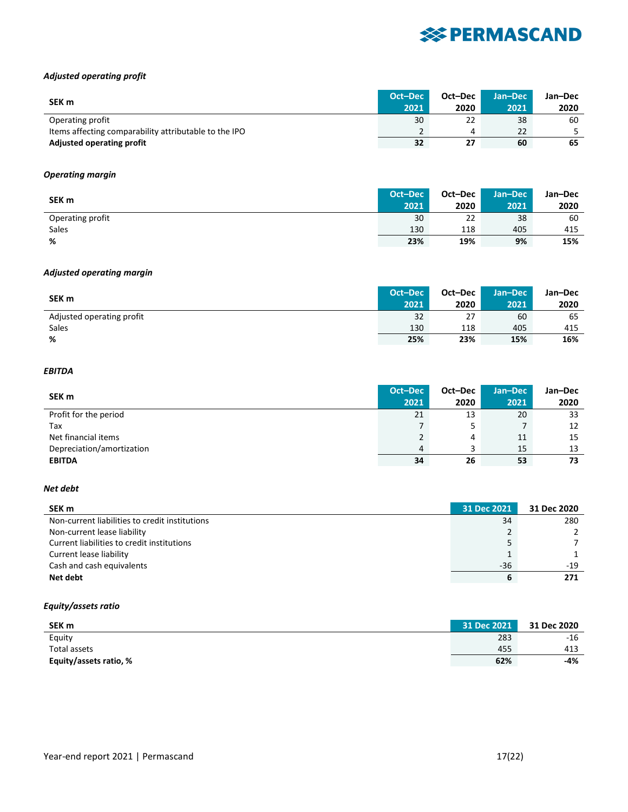### *Adjusted operating profit*

| SEK m                                                 |      | Oct-Dec |      | Jan-Dec |
|-------------------------------------------------------|------|---------|------|---------|
|                                                       | 2021 | 2020    | 2021 | 2020    |
| Operating profit                                      | 30   | 22      | 38   | 60      |
| Items affecting comparability attributable to the IPO |      |         | 22   |         |
| <b>Adjusted operating profit</b>                      | 32   |         | 60   | 65      |

#### *Operating margin*

| SEK m            |      | Oct-Dec | LJan-Dec ' | Jan-Dec |
|------------------|------|---------|------------|---------|
|                  | 2021 | 2020    | 2021       | 2020    |
| Operating profit | 30   | 22      | 38         | 60      |
| Sales            | 130  | 118     | 405        | 415     |
| %                | 23%  | 19%     | 9%         | 15%     |

#### *Adjusted operating margin*

| SEK <sub>m</sub>          | Oct-Dec | Oct-Dec | <b>Jan-Dec</b> \ | Jan-Dec |
|---------------------------|---------|---------|------------------|---------|
|                           | 2021    | 2020    | 2021             | 2020    |
| Adjusted operating profit | 32      | 27      | 60               | 65      |
| Sales                     | 130     | 118     | 405              | 415     |
| %                         | 25%     | 23%     | 15%              | 16%     |

#### *EBITDA*

| SEK m                     |      | Oct-Dec | Jan-Dec | Jan-Dec |
|---------------------------|------|---------|---------|---------|
|                           | 2021 | 2020    | 2021    | 2020    |
| Profit for the period     | 21   | 13      | 20      | 33      |
| Tax                       |      |         |         | 12      |
| Net financial items       |      | 4       | 11      | 15      |
| Depreciation/amortization | 4    |         | 15      | 13      |
| <b>EBITDA</b>             | 34   | 26      | 53      | 73      |

#### *Net debt*

| SEK m                                          | 31 Dec 2021 | 31 Dec 2020 |
|------------------------------------------------|-------------|-------------|
| Non-current liabilities to credit institutions | 34          | 280         |
| Non-current lease liability                    |             |             |
| Current liabilities to credit institutions     |             |             |
| Current lease liability                        |             |             |
| Cash and cash equivalents                      | $-36$       | -19         |
| Net debt                                       |             |             |

#### *Equity/assets ratio*

| SEK <sub>m</sub>       | 31 Dec 2021 | 31 Dec 2020 |
|------------------------|-------------|-------------|
| Equity                 | 283         | $-16$       |
| Total assets           | 455         | 413         |
| Equity/assets ratio, % | 62%         | -4%         |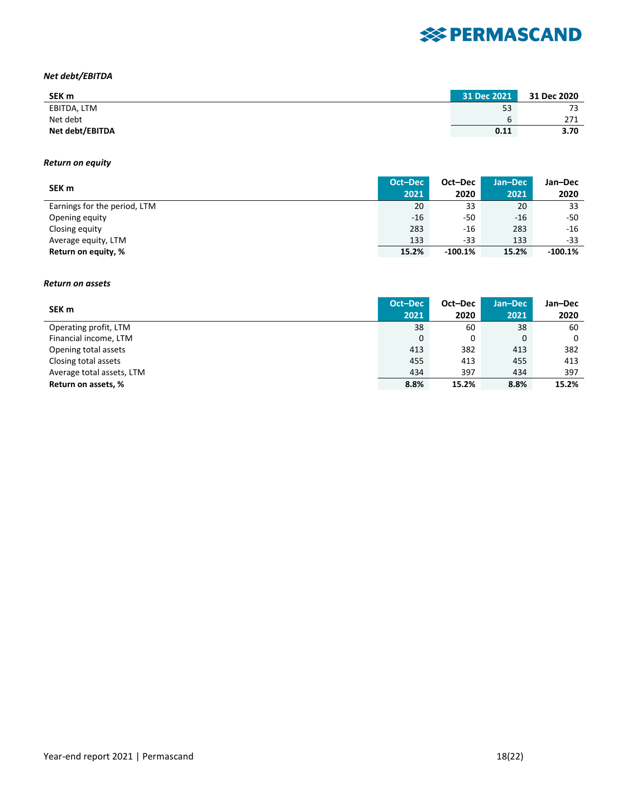### *Net debt/EBITDA*

| SEK <sub>m</sub> | 31 Dec 2021 | 31 Dec 2020 |
|------------------|-------------|-------------|
| EBITDA, LTM      | 53          | 73          |
| Net debt         | b           | 271         |
| Net debt/EBITDA  | 0.11        | 3.70        |

#### *Return on equity*

| SEK m                        |       | Oct-Dec   | Jan-Dec | Jan-Dec   |
|------------------------------|-------|-----------|---------|-----------|
|                              | 2021  | 2020      | 2021    | 2020      |
| Earnings for the period, LTM | 20    | 33        | 20      | 33        |
| Opening equity               | -16   | -50       | $-16$   | -50       |
| Closing equity               | 283   | $-16$     | 283     | $-16$     |
| Average equity, LTM          | 133   | -33       | 133     | -33       |
| Return on equity, %          | 15.2% | $-100.1%$ | 15.2%   | $-100.1%$ |

#### *Return on assets*

|                           | Oct-Dec | Oct-Dec | Jan-Dec | Jan-Dec |
|---------------------------|---------|---------|---------|---------|
| SEK m                     | 2021    | 2020    | 2021    | 2020    |
| Operating profit, LTM     | 38      | 60      | 38      | 60      |
| Financial income, LTM     | 0       | 0       | 0       | 0       |
| Opening total assets      | 413     | 382     | 413     | 382     |
| Closing total assets      | 455     | 413     | 455     | 413     |
| Average total assets, LTM | 434     | 397     | 434     | 397     |
| Return on assets, %       | 8.8%    | 15.2%   | 8.8%    | 15.2%   |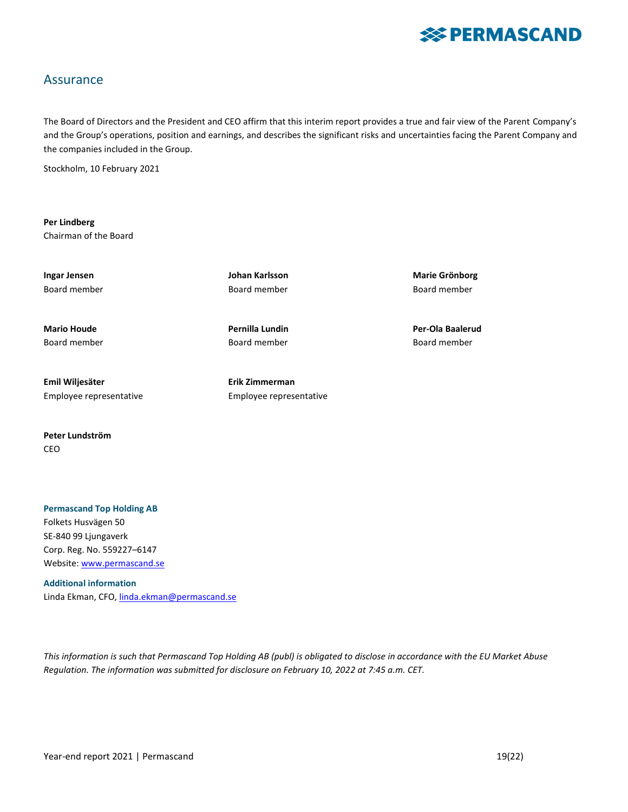

### Assurance

The Board of Directors and the President and CEO affirm that this interim report provides a true and fair view of the Parent Company's and the Group's operations, position and earnings, and describes the significant risks and uncertainties facing the Parent Company and the companies included in the Group.

Stockholm, 10 February 2021

**Per Lindberg** Chairman of the Board

**Mario Houde Pernilla Lundin Per-Ola Baalerud**

Board member Board member Board member

**Emil Wiljesäter Erik Zimmerman** Employee representative Employee representative

**Peter Lundström** CEO

#### **Permascand Top Holding AB** Folkets Husvägen 50

SE-840 99 Ljungaverk Corp. Reg. No. 559227–6147 Website[: www.permascand.se](http://www.permascand.se/)

**Additional information** Linda Ekman, CFO, *linda.ekman@permascand.se* 

*This information is such that Permascand Top Holding AB (publ) is obligated to disclose in accordance with the EU Market Abuse Regulation. The information was submitted for disclosure on February 10, 2022 at 7:45 a.m. CET.*

Year-end report 2021 | Permascand 19(22)

Board member Board member Board member

**Ingar Jensen Johan Karlsson Marie Grönborg**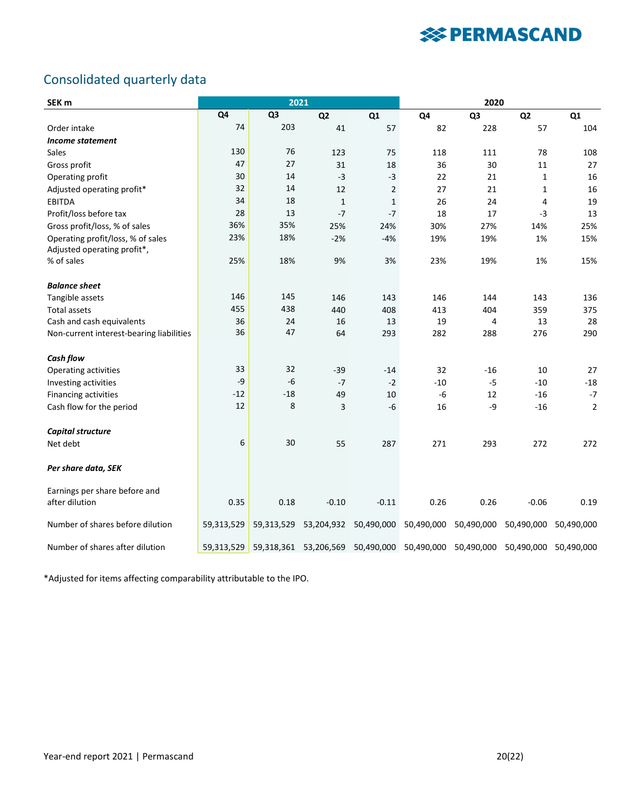## Consolidated quarterly data

| SEK <sub>m</sub>                         |                | 2021           |                       |                |            | 2020                                                   |                |                |
|------------------------------------------|----------------|----------------|-----------------------|----------------|------------|--------------------------------------------------------|----------------|----------------|
|                                          | Q <sub>4</sub> | Q <sub>3</sub> | Q <sub>2</sub>        | Q <sub>1</sub> | Q4         | Q <sub>3</sub>                                         | Q <sub>2</sub> | Q1             |
| Order intake                             | 74             | 203            | 41                    | 57             | 82         | 228                                                    | 57             | 104            |
| <b>Income statement</b>                  |                |                |                       |                |            |                                                        |                |                |
| Sales                                    | 130            | 76             | 123                   | 75             | 118        | 111                                                    | 78             | 108            |
| Gross profit                             | 47             | 27             | 31                    | 18             | 36         | 30                                                     | 11             | 27             |
| Operating profit                         | 30             | 14             | $-3$                  | $-3$           | 22         | 21                                                     | $\mathbf{1}$   | 16             |
| Adjusted operating profit*               | 32             | 14             | 12                    | $\overline{2}$ | 27         | 21                                                     | 1              | 16             |
| <b>EBITDA</b>                            | 34             | 18             | $\mathbf{1}$          | $\mathbf{1}$   | 26         | 24                                                     | 4              | 19             |
| Profit/loss before tax                   | 28             | 13             | $-7$                  | $-7$           | 18         | 17                                                     | $-3$           | 13             |
| Gross profit/loss, % of sales            | 36%            | 35%            | 25%                   | 24%            | 30%        | 27%                                                    | 14%            | 25%            |
| Operating profit/loss, % of sales        | 23%            | 18%            | $-2%$                 | $-4%$          | 19%        | 19%                                                    | 1%             | 15%            |
| Adjusted operating profit*,              |                |                |                       |                |            |                                                        |                |                |
| % of sales                               | 25%            | 18%            | 9%                    | 3%             | 23%        | 19%                                                    | 1%             | 15%            |
| <b>Balance sheet</b>                     |                |                |                       |                |            |                                                        |                |                |
| Tangible assets                          | 146            | 145            | 146                   | 143            | 146        | 144                                                    | 143            | 136            |
| <b>Total assets</b>                      | 455            | 438            | 440                   | 408            | 413        | 404                                                    | 359            | 375            |
| Cash and cash equivalents                | 36             | 24             | 16                    | 13             | 19         | 4                                                      | 13             | 28             |
| Non-current interest-bearing liabilities | 36             | 47             | 64                    | 293            | 282        | 288                                                    | 276            | 290            |
| Cash flow                                |                |                |                       |                |            |                                                        |                |                |
| Operating activities                     | 33             | 32             | $-39$                 | $-14$          | 32         | $-16$                                                  | 10             | 27             |
| Investing activities                     | -9             | $-6$           | $-7$                  | $-2$           | $-10$      | $-5$                                                   | $-10$          | $-18$          |
| Financing activities                     | $-12$          | $-18$          | 49                    | 10             | $-6$       | 12                                                     | $-16$          | $-7$           |
| Cash flow for the period                 | 12             | 8              | 3                     | $-6$           | 16         | $-9$                                                   | $-16$          | $\overline{2}$ |
| Capital structure                        |                |                |                       |                |            |                                                        |                |                |
| Net debt                                 | 6              | 30             | 55                    | 287            | 271        | 293                                                    | 272            | 272            |
| Per share data, SEK                      |                |                |                       |                |            |                                                        |                |                |
| Earnings per share before and            |                |                |                       |                |            |                                                        |                |                |
| after dilution                           | 0.35           | 0.18           | $-0.10$               | $-0.11$        | 0.26       | 0.26                                                   | $-0.06$        | 0.19           |
| Number of shares before dilution         | 59,313,529     | 59,313,529     | 53,204,932            | 50,490,000     | 50,490,000 | 50,490,000                                             | 50,490,000     | 50,490,000     |
| Number of shares after dilution          | 59,313,529     |                | 59,318,361 53,206,569 |                |            | 50,490,000 50,490,000 50,490,000 50,490,000 50,490,000 |                |                |

\*Adjusted for items affecting comparability attributable to the IPO.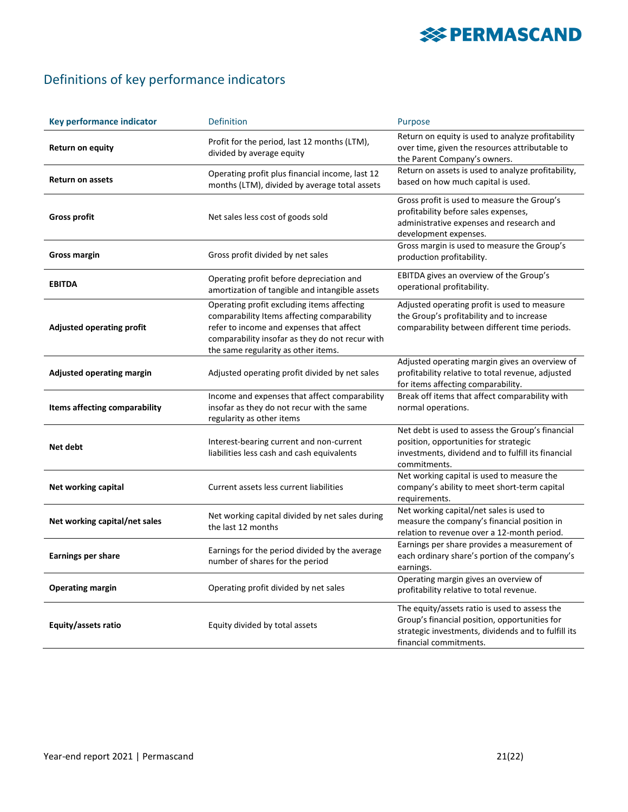# **※ PERMASCAND**

## Definitions of key performance indicators

| <b>Key performance indicator</b>     | <b>Definition</b>                                                                                                                                                                                                               | Purpose                                                                                                                                                                         |
|--------------------------------------|---------------------------------------------------------------------------------------------------------------------------------------------------------------------------------------------------------------------------------|---------------------------------------------------------------------------------------------------------------------------------------------------------------------------------|
| <b>Return on equity</b>              | Profit for the period, last 12 months (LTM),<br>divided by average equity                                                                                                                                                       | Return on equity is used to analyze profitability<br>over time, given the resources attributable to<br>the Parent Company's owners.                                             |
| <b>Return on assets</b>              | Operating profit plus financial income, last 12<br>months (LTM), divided by average total assets                                                                                                                                | Return on assets is used to analyze profitability,<br>based on how much capital is used.                                                                                        |
| <b>Gross profit</b>                  | Net sales less cost of goods sold                                                                                                                                                                                               | Gross profit is used to measure the Group's<br>profitability before sales expenses,<br>administrative expenses and research and<br>development expenses.                        |
| <b>Gross margin</b>                  | Gross profit divided by net sales                                                                                                                                                                                               | Gross margin is used to measure the Group's<br>production profitability.                                                                                                        |
| <b>EBITDA</b>                        | Operating profit before depreciation and<br>amortization of tangible and intangible assets                                                                                                                                      | EBITDA gives an overview of the Group's<br>operational profitability.                                                                                                           |
| <b>Adjusted operating profit</b>     | Operating profit excluding items affecting<br>comparability Items affecting comparability<br>refer to income and expenses that affect<br>comparability insofar as they do not recur with<br>the same regularity as other items. | Adjusted operating profit is used to measure<br>the Group's profitability and to increase<br>comparability between different time periods.                                      |
| <b>Adjusted operating margin</b>     | Adjusted operating profit divided by net sales                                                                                                                                                                                  | Adjusted operating margin gives an overview of<br>profitability relative to total revenue, adjusted<br>for items affecting comparability.                                       |
| <b>Items affecting comparability</b> | Income and expenses that affect comparability<br>insofar as they do not recur with the same<br>regularity as other items                                                                                                        | Break off items that affect comparability with<br>normal operations.                                                                                                            |
| Net debt                             | Interest-bearing current and non-current<br>liabilities less cash and cash equivalents                                                                                                                                          | Net debt is used to assess the Group's financial<br>position, opportunities for strategic<br>investments, dividend and to fulfill its financial<br>commitments.                 |
| Net working capital                  | Current assets less current liabilities                                                                                                                                                                                         | Net working capital is used to measure the<br>company's ability to meet short-term capital<br>requirements.                                                                     |
| Net working capital/net sales        | Net working capital divided by net sales during<br>the last 12 months                                                                                                                                                           | Net working capital/net sales is used to<br>measure the company's financial position in<br>relation to revenue over a 12-month period.                                          |
| <b>Earnings per share</b>            | Earnings for the period divided by the average<br>number of shares for the period                                                                                                                                               | Earnings per share provides a measurement of<br>each ordinary share's portion of the company's<br>earnings.                                                                     |
| <b>Operating margin</b>              | Operating profit divided by net sales                                                                                                                                                                                           | Operating margin gives an overview of<br>profitability relative to total revenue.                                                                                               |
| Equity/assets ratio                  | Equity divided by total assets                                                                                                                                                                                                  | The equity/assets ratio is used to assess the<br>Group's financial position, opportunities for<br>strategic investments, dividends and to fulfill its<br>financial commitments. |